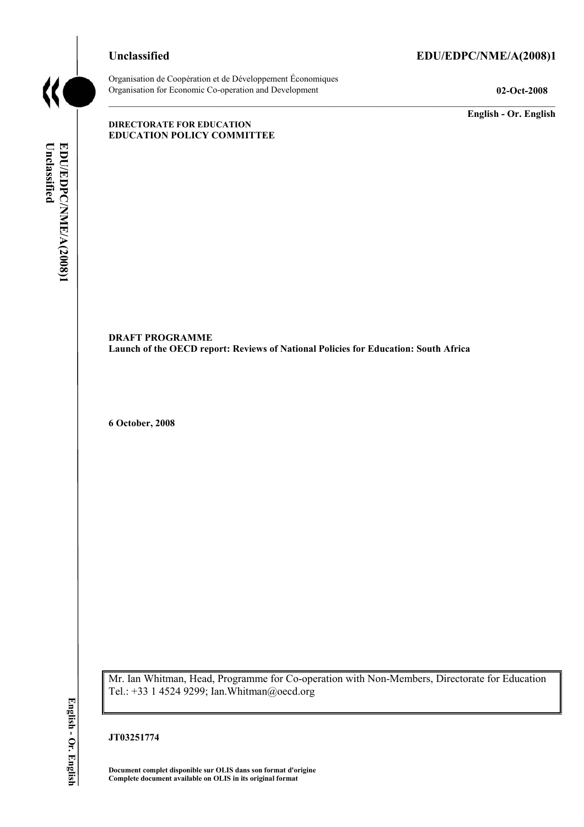### **Unclassified EDU/EDPC/NME/A(2008)1**



Organisation de Coopération et de Développement Économiques Organisation for Economic Co-operation and Development **02-Oct-2008** 

**English - Or. English** 

#### **DIRECTORATE FOR EDUCATION EDUCATION POLICY COMMITTEE**

Unclassified EDU/EDPC/NME/A(2008)1 **Unclassified EDU/EDPC/NME/A(2008)1 English - Or. English**

**DRAFT PROGRAMME Launch of the OECD report: Reviews of National Policies for Education: South Africa** 

**6 October, 2008** 

Mr. Ian Whitman, Head, Programme for Co-operation with Non-Members, Directorate for Education Tel.: +33 1 4524 9299; Ian.Whitman@oecd.org

#### **JT03251774**

**Document complet disponible sur OLIS dans son format d'origine Complete document available on OLIS in its original format**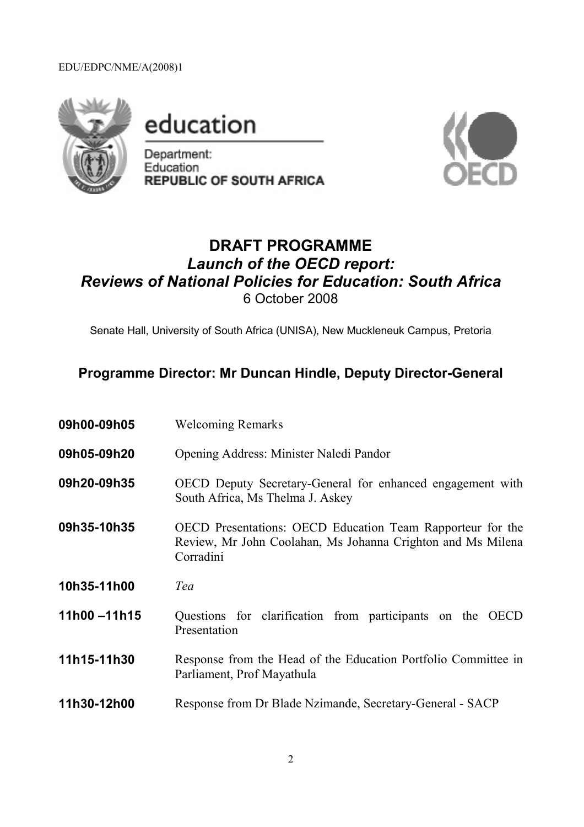### EDU/EDPC/NME/A(2008)1



education

Department: Education **REPUBLIC OF SOUTH AFRICA** 



# **DRAFT PROGRAMME**  *Launch of the OECD report: Reviews of National Policies for Education: South Africa*  6 October 2008

Senate Hall, University of South Africa (UNISA), New Muckleneuk Campus, Pretoria

## **Programme Director: Mr Duncan Hindle, Deputy Director-General**

| 09h00-09h05 | <b>Welcoming Remarks</b>                                                                                                               |
|-------------|----------------------------------------------------------------------------------------------------------------------------------------|
| 09h05-09h20 | Opening Address: Minister Naledi Pandor                                                                                                |
| 09h20-09h35 | OECD Deputy Secretary-General for enhanced engagement with<br>South Africa, Ms Thelma J. Askey                                         |
| 09h35-10h35 | OECD Presentations: OECD Education Team Rapporteur for the<br>Review, Mr John Coolahan, Ms Johanna Crighton and Ms Milena<br>Corradini |
| 10h35-11h00 | Tea                                                                                                                                    |
| 11h00-11h15 | Questions for clarification from participants on the OECD<br>Presentation                                                              |
| 11h15-11h30 | Response from the Head of the Education Portfolio Committee in<br>Parliament, Prof Mayathula                                           |
| 11h30-12h00 | Response from Dr Blade Nzimande, Secretary-General - SACP                                                                              |